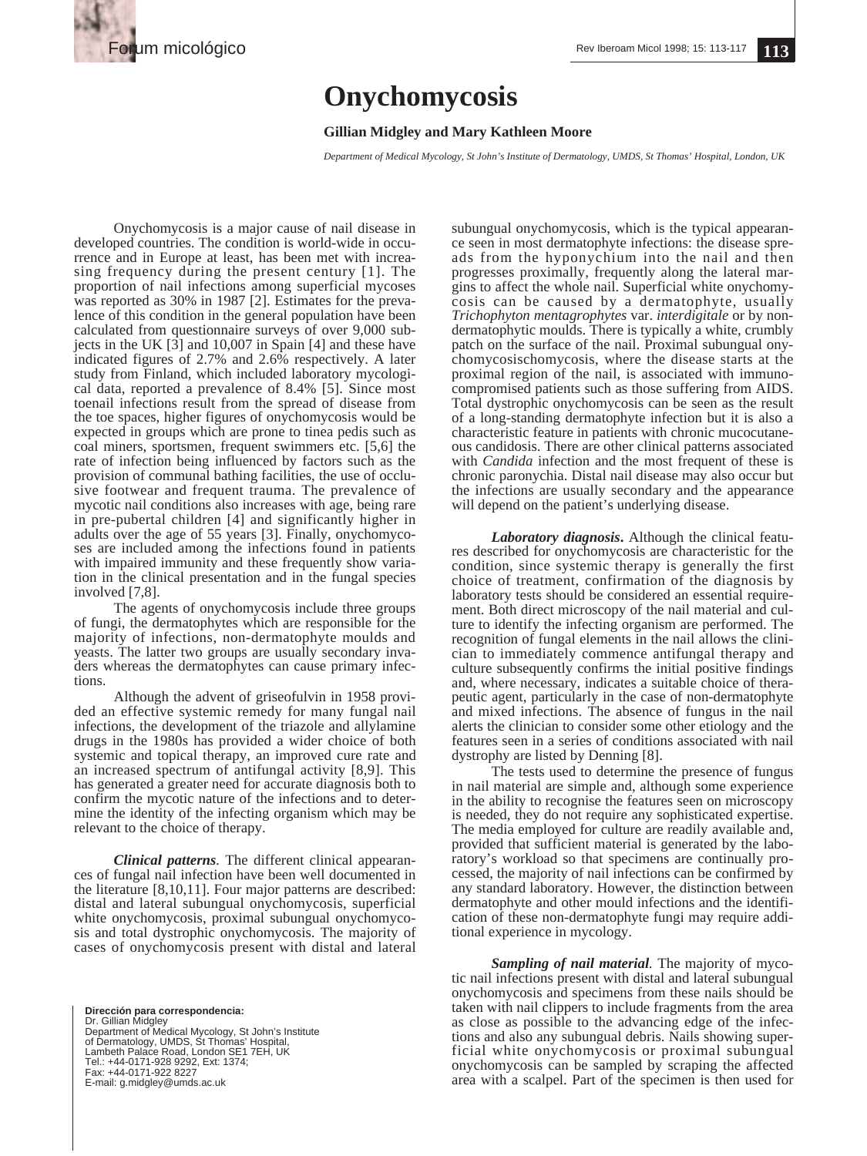

## **Onychomycosis**

## **Gillian Midgley and Mary Kathleen Moore**

*Department of Medical Mycology, St John's Institute of Dermatology, UMDS, St Thomas' Hospital, London, UK*

Onychomycosis is a major cause of nail disease in developed countries. The condition is world-wide in occurrence and in Europe at least, has been met with increasing frequency during the present century [1]. The proportion of nail infections among superficial mycoses was reported as 30% in 1987 [2]. Estimates for the prevalence of this condition in the general population have been calculated from questionnaire surveys of over 9,000 subjects in the UK  $\lceil 3 \rceil$  and 10,007 in Spain  $\lceil 4 \rceil$  and these have indicated figures of 2.7% and 2.6% respectively. A later study from Finland, which included laboratory mycological data, reported a prevalence of 8.4% [5]. Since most toenail infections result from the spread of disease from the toe spaces, higher figures of onychomycosis would be expected in groups which are prone to tinea pedis such as coal miners, sportsmen, frequent swimmers etc. [5,6] the rate of infection being influenced by factors such as the provision of communal bathing facilities, the use of occlusive footwear and frequent trauma. The prevalence of mycotic nail conditions also increases with age, being rare in pre-pubertal children [4] and significantly higher in adults over the age of 55 years [3]. Finally, onychomycoses are included among the infections found in patients with impaired immunity and these frequently show variation in the clinical presentation and in the fungal species involved [7,8].

The agents of onychomycosis include three groups of fungi, the dermatophytes which are responsible for the majority of infections, non-dermatophyte moulds and yeasts. The latter two groups are usually secondary invaders whereas the dermatophytes can cause primary infections.

Although the advent of griseofulvin in 1958 provided an effective systemic remedy for many fungal nail infections, the development of the triazole and allylamine drugs in the 1980s has provided a wider choice of both systemic and topical therapy, an improved cure rate and an increased spectrum of antifungal activity [8,9]. This has generated a greater need for accurate diagnosis both to confirm the mycotic nature of the infections and to determine the identity of the infecting organism which may be relevant to the choice of therapy.

*Clinical patterns.* The different clinical appearances of fungal nail infection have been well documented in the literature [8,10,11]. Four major patterns are described: distal and lateral subungual onychomycosis, superficial white onychomycosis, proximal subungual onychomycosis and total dystrophic onychomycosis. The majority of cases of onychomycosis present with distal and lateral

**Dirección para correspondencia:**  Dr. Gillian Midgley Department of Medical Mycology, St John's Institute of Dermatology, UMDS, St Thomas' Hospital, Lambeth Palace Road, London SE1 7EH, UK Tel.: +44-0171-928 9292, Ext: 1374; Fax: +44-0171-922 8227 E-mail: g.midgley@umds.ac.uk

subungual onychomycosis, which is the typical appearance seen in most dermatophyte infections: the disease spreads from the hyponychium into the nail and then progresses proximally, frequently along the lateral margins to affect the whole nail. Superficial white onychomycosis can be caused by a dermatophyte, usually *Trichophyton mentagrophytes* var. *interdigitale* or by nondermatophytic moulds. There is typically a white, crumbly patch on the surface of the nail. Proximal subungual onychomycosischomycosis, where the disease starts at the proximal region of the nail, is associated with immunocompromised patients such as those suffering from AIDS. Total dystrophic onychomycosis can be seen as the result of a long-standing dermatophyte infection but it is also a characteristic feature in patients with chronic mucocutaneous candidosis. There are other clinical patterns associated with *Candida* infection and the most frequent of these is chronic paronychia. Distal nail disease may also occur but the infections are usually secondary and the appearance will depend on the patient's underlying disease.

*Laboratory diagnosis***.** Although the clinical features described for onychomycosis are characteristic for the condition, since systemic therapy is generally the first choice of treatment, confirmation of the diagnosis by laboratory tests should be considered an essential requirement. Both direct microscopy of the nail material and culture to identify the infecting organism are performed. The recognition of fungal elements in the nail allows the clinician to immediately commence antifungal therapy and culture subsequently confirms the initial positive findings and, where necessary, indicates a suitable choice of therapeutic agent, particularly in the case of non-dermatophyte and mixed infections. The absence of fungus in the nail alerts the clinician to consider some other etiology and the features seen in a series of conditions associated with nail dystrophy are listed by Denning [8].

The tests used to determine the presence of fungus in nail material are simple and, although some experience in the ability to recognise the features seen on microscopy is needed, they do not require any sophisticated expertise. The media employed for culture are readily available and, provided that sufficient material is generated by the laboratory's workload so that specimens are continually processed, the majority of nail infections can be confirmed by any standard laboratory. However, the distinction between dermatophyte and other mould infections and the identification of these non-dermatophyte fungi may require additional experience in mycology.

*Sampling of nail material.* The majority of mycotic nail infections present with distal and lateral subungual onychomycosis and specimens from these nails should be taken with nail clippers to include fragments from the area as close as possible to the advancing edge of the infections and also any subungual debris. Nails showing superficial white onychomycosis or proximal subungual onychomycosis can be sampled by scraping the affected area with a scalpel. Part of the specimen is then used for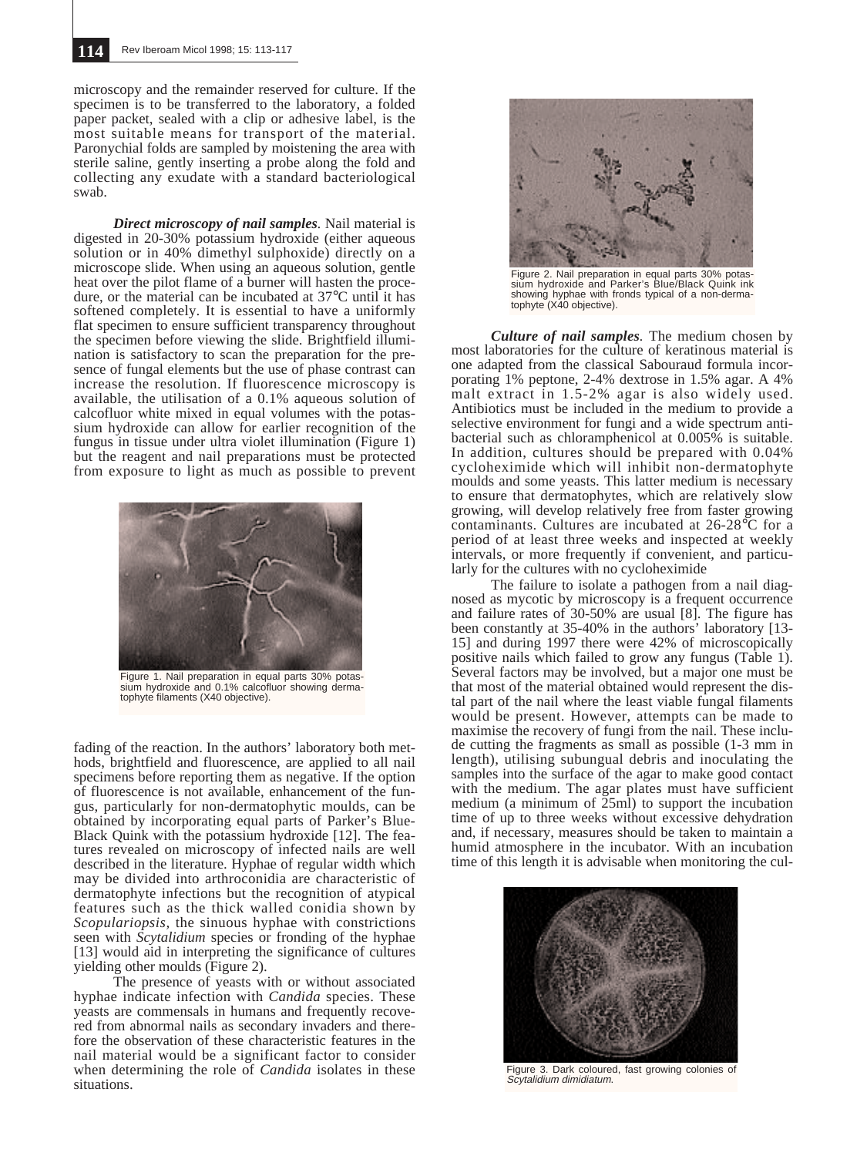microscopy and the remainder reserved for culture. If the specimen is to be transferred to the laboratory, a folded paper packet, sealed with a clip or adhesive label, is the most suitable means for transport of the material. Paronychial folds are sampled by moistening the area with sterile saline, gently inserting a probe along the fold and collecting any exudate with a standard bacteriological swab.

*Direct microscopy of nail samples.* Nail material is digested in 20-30% potassium hydroxide (either aqueous solution or in 40% dimethyl sulphoxide) directly on a microscope slide. When using an aqueous solution, gentle heat over the pilot flame of a burner will hasten the procedure, or the material can be incubated at 37°C until it has softened completely. It is essential to have a uniformly flat specimen to ensure sufficient transparency throughout the specimen before viewing the slide. Brightfield illumination is satisfactory to scan the preparation for the presence of fungal elements but the use of phase contrast can increase the resolution. If fluorescence microscopy is available, the utilisation of a 0.1% aqueous solution of calcofluor white mixed in equal volumes with the potassium hydroxide can allow for earlier recognition of the fungus in tissue under ultra violet illumination (Figure 1) but the reagent and nail preparations must be protected from exposure to light as much as possible to prevent



Figure 1. Nail preparation in equal parts 30% potassium hydroxide and 0.1% calcofluor showing dermatophyte filaments (X40 objective).

fading of the reaction. In the authors' laboratory both methods, brightfield and fluorescence, are applied to all nail specimens before reporting them as negative. If the option of fluorescence is not available, enhancement of the fungus, particularly for non-dermatophytic moulds, can be obtained by incorporating equal parts of Parker's Blue-Black Quink with the potassium hydroxide [12]. The features revealed on microscopy of infected nails are well described in the literature. Hyphae of regular width which may be divided into arthroconidia are characteristic of dermatophyte infections but the recognition of atypical features such as the thick walled conidia shown by *Scopulariopsis,* the sinuous hyphae with constrictions seen with *Scytalidium* species or fronding of the hyphae [13] would aid in interpreting the significance of cultures yielding other moulds (Figure 2).

The presence of yeasts with or without associated hyphae indicate infection with *Candida* species. These yeasts are commensals in humans and frequently recovered from abnormal nails as secondary invaders and therefore the observation of these characteristic features in the nail material would be a significant factor to consider when determining the role of *Candida* isolates in these situations.



Figure 2. Nail preparation in equal parts 30% potas-sium hydroxide and Parker's Blue/Black Quink ink showing hyphae with fronds typical of a non-dermatophyte (X40 objective).

*Culture of nail samples.* The medium chosen by most laboratories for the culture of keratinous material is one adapted from the classical Sabouraud formula incorporating 1% peptone, 2-4% dextrose in 1.5% agar. A 4% malt extract in 1.5-2% agar is also widely used. Antibiotics must be included in the medium to provide a selective environment for fungi and a wide spectrum antibacterial such as chloramphenicol at 0.005% is suitable. In addition, cultures should be prepared with 0.04% cycloheximide which will inhibit non-dermatophyte moulds and some yeasts. This latter medium is necessary to ensure that dermatophytes, which are relatively slow growing, will develop relatively free from faster growing contaminants. Cultures are incubated at 26-28°C for a period of at least three weeks and inspected at weekly intervals, or more frequently if convenient, and particularly for the cultures with no cycloheximide

The failure to isolate a pathogen from a nail diagnosed as mycotic by microscopy is a frequent occurrence and failure rates of 30-50% are usual [8]. The figure has been constantly at 35-40% in the authors' laboratory [13- 15] and during 1997 there were 42% of microscopically positive nails which failed to grow any fungus (Table 1). Several factors may be involved, but a major one must be that most of the material obtained would represent the distal part of the nail where the least viable fungal filaments would be present. However, attempts can be made to maximise the recovery of fungi from the nail. These include cutting the fragments as small as possible (1-3 mm in length), utilising subungual debris and inoculating the samples into the surface of the agar to make good contact with the medium. The agar plates must have sufficient medium (a minimum of 25ml) to support the incubation time of up to three weeks without excessive dehydration and, if necessary, measures should be taken to maintain a humid atmosphere in the incubator. With an incubation time of this length it is advisable when monitoring the cul-



Figure 3. Dark coloured, fast growing colonies of<br>Scytalidium dimidiatum.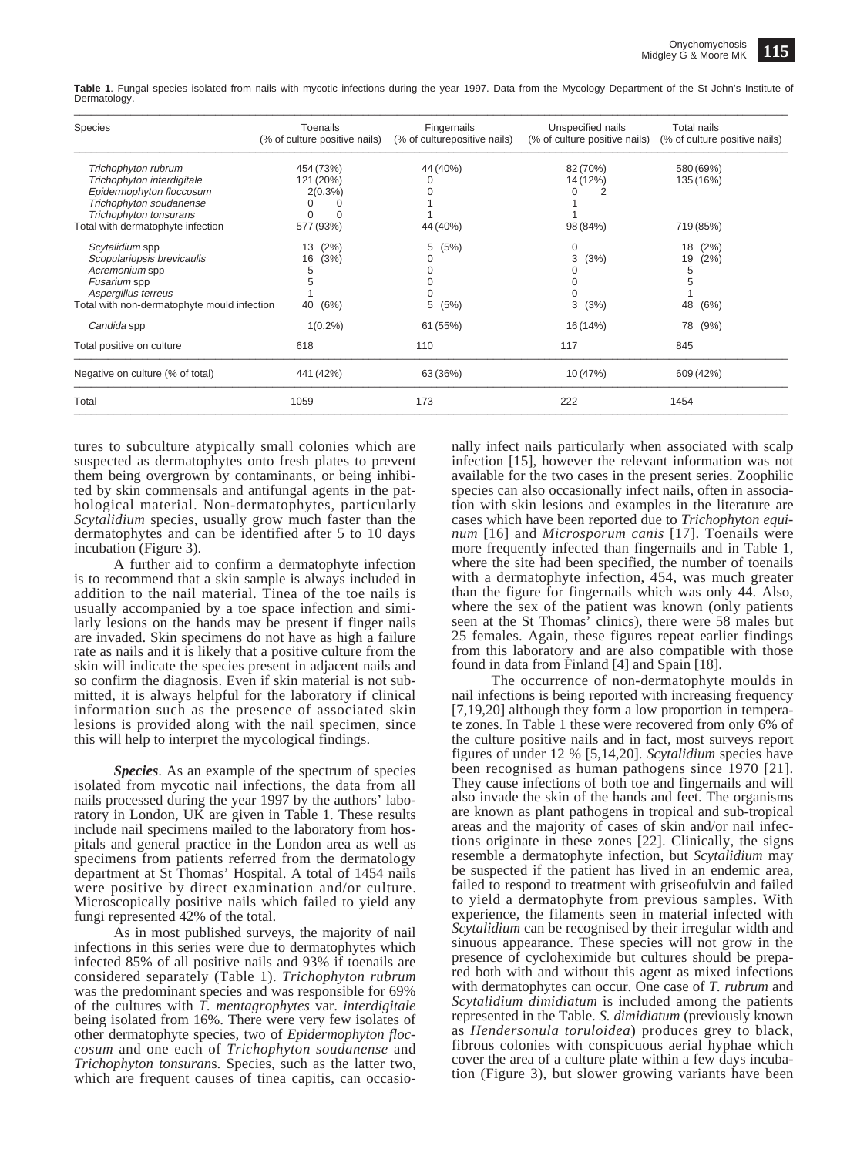**Table 1**. Fungal species isolated from nails with mycotic infections during the year 1997. Data from the Mycology Department of the St John's Institute of Dermatology.

| Species                                     | Toenails                      | Fingernails                  | Unspecified nails             | Total nails                   |
|---------------------------------------------|-------------------------------|------------------------------|-------------------------------|-------------------------------|
|                                             | (% of culture positive nails) | (% of culturepositive nails) | (% of culture positive nails) | (% of culture positive nails) |
| Trichophyton rubrum                         | 454 (73%)                     | 44 (40%)                     | 82 (70%)                      | 580 (69%)                     |
| Trichophyton interdigitale                  | 121 (20%)                     | 0                            | 14 (12%)                      | 135 (16%)                     |
| Epidermophyton floccosum                    | 2(0.3%)                       |                              | 2                             |                               |
| Trichophyton soudanense                     | <sup>0</sup><br>$\Omega$      |                              |                               |                               |
| Trichophyton tonsurans                      | $\Omega$<br>$\Omega$          |                              |                               |                               |
| Total with dermatophyte infection           | 577 (93%)                     | 44 (40%)                     | 98 (84%)                      | 719 (85%)                     |
| Scytalidium spp                             | (2%)<br>13                    | 5<br>(5%)                    | 0                             | (2%)<br>18                    |
| Scopulariopsis brevicaulis                  | 16<br>(3%)                    | 0                            | 3<br>(3%)                     | (2%)<br>19                    |
| Acremonium spp                              | 5                             |                              |                               | 5                             |
| Fusarium spp                                | 5                             | 0                            | 0                             | 5                             |
| Aspergillus terreus                         |                               |                              | $\Omega$                      |                               |
| Total with non-dermatophyte mould infection | (6%)<br>40                    | 5<br>(5%)                    | 3<br>(3%)                     | 48<br>(6%)                    |
| Candida spp                                 | $1(0.2\%)$                    | 61 (55%)                     | 16 (14%)                      | 78 (9%)                       |
| Total positive on culture                   | 618                           | 110                          | 117                           | 845                           |
| Negative on culture (% of total)            | 441 (42%)                     | 63 (36%)                     | 10 (47%)                      | 609 (42%)                     |
| Total                                       | 1059                          | 173                          | 222                           | 1454                          |

tures to subculture atypically small colonies which are suspected as dermatophytes onto fresh plates to prevent them being overgrown by contaminants, or being inhibited by skin commensals and antifungal agents in the pathological material. Non-dermatophytes, particularly *Scytalidium* species, usually grow much faster than the dermatophytes and can be identified after 5 to 10 days incubation (Figure 3).

A further aid to confirm a dermatophyte infection is to recommend that a skin sample is always included in addition to the nail material. Tinea of the toe nails is usually accompanied by a toe space infection and similarly lesions on the hands may be present if finger nails are invaded. Skin specimens do not have as high a failure rate as nails and it is likely that a positive culture from the skin will indicate the species present in adjacent nails and so confirm the diagnosis. Even if skin material is not submitted, it is always helpful for the laboratory if clinical information such as the presence of associated skin lesions is provided along with the nail specimen, since this will help to interpret the mycological findings.

*Species*. As an example of the spectrum of species isolated from mycotic nail infections, the data from all nails processed during the year 1997 by the authors' laboratory in London, UK are given in Table 1. These results include nail specimens mailed to the laboratory from hospitals and general practice in the London area as well as specimens from patients referred from the dermatology department at St Thomas' Hospital. A total of 1454 nails were positive by direct examination and/or culture. Microscopically positive nails which failed to yield any fungi represented 42% of the total.

As in most published surveys, the majority of nail infections in this series were due to dermatophytes which infected 85% of all positive nails and 93% if toenails are considered separately (Table 1). *Trichophyton rubrum* was the predominant species and was responsible for 69% of the cultures with *T. mentagrophytes* var. *interdigitale* being isolated from 16%. There were very few isolates of other dermatophyte species, two of *Epidermophyton floccosum* and one each of *Trichophyton soudanense* and *Trichophyton tonsuran*s. Species, such as the latter two, which are frequent causes of tinea capitis, can occasionally infect nails particularly when associated with scalp infection [15], however the relevant information was not available for the two cases in the present series. Zoophilic species can also occasionally infect nails, often in association with skin lesions and examples in the literature are cases which have been reported due to *Trichophyton equinum* [16] and *Microsporum canis* [17]. Toenails were more frequently infected than fingernails and in Table 1, where the site had been specified, the number of toenails with a dermatophyte infection, 454, was much greater than the figure for fingernails which was only 44. Also, where the sex of the patient was known (only patients seen at the St Thomas' clinics), there were 58 males but 25 females. Again, these figures repeat earlier findings from this laboratory and are also compatible with those found in data from Finland [4] and Spain [18].

The occurrence of non-dermatophyte moulds in nail infections is being reported with increasing frequency [7,19,20] although they form a low proportion in temperate zones. In Table 1 these were recovered from only 6% of the culture positive nails and in fact, most surveys report figures of under 12 % [5,14,20]. *Scytalidium* species have been recognised as human pathogens since 1970 [21]. They cause infections of both toe and fingernails and will also invade the skin of the hands and feet. The organisms are known as plant pathogens in tropical and sub-tropical areas and the majority of cases of skin and/or nail infections originate in these zones [22]. Clinically, the signs resemble a dermatophyte infection, but *Scytalidium* may be suspected if the patient has lived in an endemic area, failed to respond to treatment with griseofulvin and failed to yield a dermatophyte from previous samples. With experience, the filaments seen in material infected with *Scytalidium* can be recognised by their irregular width and sinuous appearance. These species will not grow in the presence of cycloheximide but cultures should be prepared both with and without this agent as mixed infections with dermatophytes can occur. One case of *T. rubrum* and *Scytalidium dimidiatum* is included among the patients represented in the Table. *S. dimidiatum* (previously known as *Hendersonula toruloidea*) produces grey to black, fibrous colonies with conspicuous aerial hyphae which cover the area of a culture plate within a few days incubation (Figure 3), but slower growing variants have been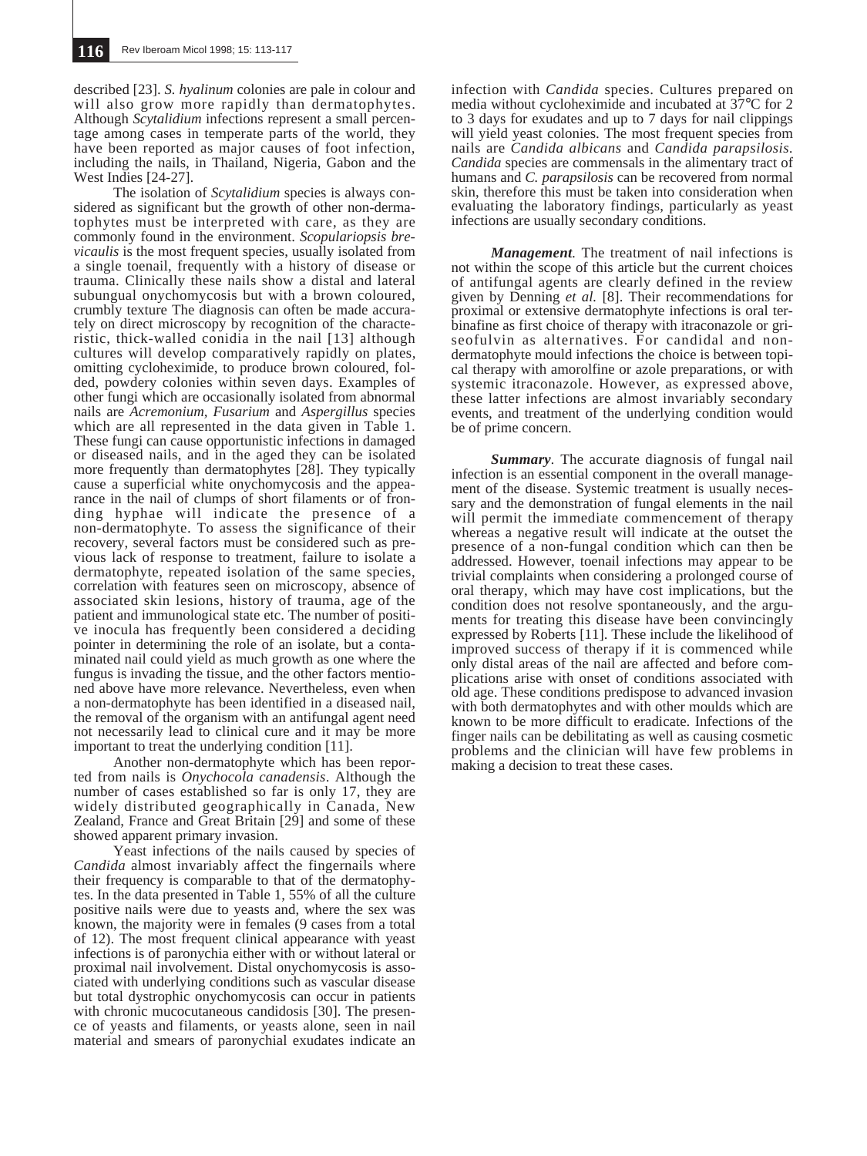described [23]. *S. hyalinum* colonies are pale in colour and will also grow more rapidly than dermatophytes. Although *Scytalidium* infections represent a small percentage among cases in temperate parts of the world, they have been reported as major causes of foot infection, including the nails, in Thailand, Nigeria, Gabon and the West Indies [24-27].

The isolation of *Scytalidium* species is always considered as significant but the growth of other non-dermatophytes must be interpreted with care, as they are commonly found in the environment. *Scopulariopsis brevicaulis* is the most frequent species, usually isolated from a single toenail, frequently with a history of disease or trauma. Clinically these nails show a distal and lateral subungual onychomycosis but with a brown coloured, crumbly texture The diagnosis can often be made accurately on direct microscopy by recognition of the characteristic, thick-walled conidia in the nail [13] although cultures will develop comparatively rapidly on plates, omitting cycloheximide, to produce brown coloured, folded, powdery colonies within seven days. Examples of other fungi which are occasionally isolated from abnormal nails are *Acremonium, Fusarium* and *Aspergillus* species which are all represented in the data given in Table 1. These fungi can cause opportunistic infections in damaged or diseased nails, and in the aged they can be isolated more frequently than dermatophytes [28]. They typically cause a superficial white onychomycosis and the appearance in the nail of clumps of short filaments or of fronding hyphae will indicate the presence of a non-dermatophyte. To assess the significance of their recovery, several factors must be considered such as previous lack of response to treatment, failure to isolate a dermatophyte, repeated isolation of the same species, correlation with features seen on microscopy, absence of associated skin lesions, history of trauma, age of the patient and immunological state etc. The number of positive inocula has frequently been considered a deciding pointer in determining the role of an isolate, but a contaminated nail could yield as much growth as one where the fungus is invading the tissue, and the other factors mentioned above have more relevance. Nevertheless, even when a non-dermatophyte has been identified in a diseased nail, the removal of the organism with an antifungal agent need not necessarily lead to clinical cure and it may be more important to treat the underlying condition [11].

Another non-dermatophyte which has been reported from nails is *Onychocola canadensis*. Although the number of cases established so far is only 17, they are widely distributed geographically in Canada, New Zealand, France and Great Britain [29] and some of these showed apparent primary invasion.

Yeast infections of the nails caused by species of *Candida* almost invariably affect the fingernails where their frequency is comparable to that of the dermatophytes. In the data presented in Table 1, 55% of all the culture positive nails were due to yeasts and, where the sex was known, the majority were in females (9 cases from a total of 12). The most frequent clinical appearance with yeast infections is of paronychia either with or without lateral or proximal nail involvement. Distal onychomycosis is associated with underlying conditions such as vascular disease but total dystrophic onychomycosis can occur in patients with chronic mucocutaneous candidosis [30]. The presence of yeasts and filaments, or yeasts alone, seen in nail material and smears of paronychial exudates indicate an infection with *Candida* species. Cultures prepared on media without cycloheximide and incubated at 37°C for 2 to 3 days for exudates and up to 7 days for nail clippings will yield yeast colonies. The most frequent species from nails are *Candida albicans* and *Candida parapsilosis. Candida* species are commensals in the alimentary tract of humans and *C. parapsilosis* can be recovered from normal skin, therefore this must be taken into consideration when evaluating the laboratory findings, particularly as yeast infections are usually secondary conditions.

*Management.* The treatment of nail infections is not within the scope of this article but the current choices of antifungal agents are clearly defined in the review given by Denning *et al.* [8]. Their recommendations for proximal or extensive dermatophyte infections is oral terbinafine as first choice of therapy with itraconazole or griseofulvin as alternatives. For candidal and nondermatophyte mould infections the choice is between topical therapy with amorolfine or azole preparations, or with systemic itraconazole. However, as expressed above, these latter infections are almost invariably secondary events, and treatment of the underlying condition would be of prime concern.

*Summary.* The accurate diagnosis of fungal nail infection is an essential component in the overall management of the disease. Systemic treatment is usually necessary and the demonstration of fungal elements in the nail will permit the immediate commencement of therapy whereas a negative result will indicate at the outset the presence of a non-fungal condition which can then be addressed. However, toenail infections may appear to be trivial complaints when considering a prolonged course of oral therapy, which may have cost implications, but the condition does not resolve spontaneously, and the arguments for treating this disease have been convincingly expressed by Roberts [11]. These include the likelihood of improved success of therapy if it is commenced while only distal areas of the nail are affected and before complications arise with onset of conditions associated with old age. These conditions predispose to advanced invasion with both dermatophytes and with other moulds which are known to be more difficult to eradicate. Infections of the finger nails can be debilitating as well as causing cosmetic problems and the clinician will have few problems in making a decision to treat these cases.